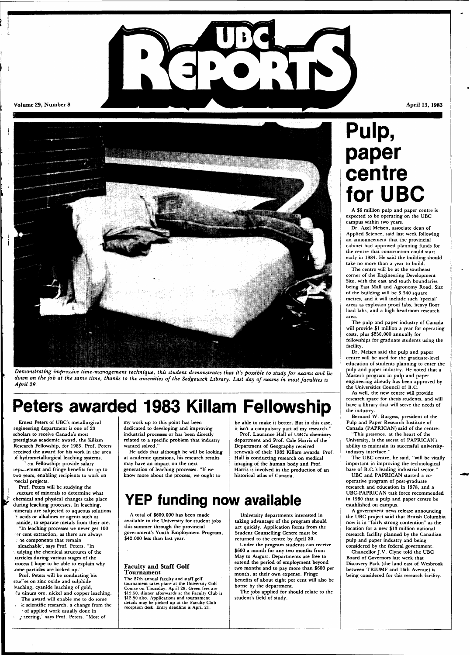



*Demonstrating impressive time-management technique, this student demonstrates that it's possible to study for exams and lie down on the job at the same time, thanks to the amenities of the Sedgewick Library. Last day of exams in most faculties is April 29.* 

### **Peters awarded 1983 Killam Fellowship**

Ernest Peters of UBC's metallurgical engineering department is one of 23 scholars to receive Canada's most prestigious academic award, the Killam Research Fellowship, for 1983. Prof. Peters received the award for his work in the area *z>i* hydrometallurgical leaching systems.

am Fellowships provide salary replacement and fringe benefits for up to two years, enabling recipients to work on ; oecial projects.

Prof. Peters will be studying the ructure of minerals to determine what chemical and physical changes take place during leaching processes. In leaching, minerals are subjected to aqueous solutions t acids or alkalines or agents such as vanide, to separate metals from their ore.

"In leaching processes we never get 100 er cent extraction, as there are always  $:$  ae components that remain

nleachable', says Prof. Peters. "In *\* udying the chemical structures of the varticles during various stages of the »rocess I hope to be able to explain why ome particles are locked up.'

Prof. Peters will be conducting his stud'es on zinc oxide and sulphide leaching, cyanide leaching of gold, !u ninum ore, nickel and copper leaching.

The award will enable me to do some / le scientific research, a change from the

of applied work usually done in . neering," says Prof. Peters. "Most of

my work up to this point has been dedicated to developing and improving industrial processes or has been directly related to a specific problem that industry wanted solved."

He adds that although he will be looking at academic questions, his research results may have an impact on the next generation of leaching processes. "If we know more about the process, we ought to

### **YEP funding now available**

A total of \$600,000 has been made available to the University for student jobs this summer through the provincial mment's Youth Employment Program, \$42,000 less than last year.

#### **Faculty and Staff Golf Tournament**

The 27th annual faculty and staff golf tournament takes place at the University Golf Course on Thursday, April 28. Green fees are \$12.50, dinner afterwards at the Faculty Club is f 12.50 also. Applications and tournament details may be picked up at the Faculty Club reception desk. Entry deadline is April 21.

be able to make it better. But in this case, it isn't a compulsory part of my research. Prof. Laurance Hall of UBC's chemistry department and Prof. Cole Harris of the

Department of Geography received renewals of their 1982 Killam awards. Prof. Hall is conducting research on medical imaging of the human body and Prof. Harris is involved in the production of an historical atlas of Canada.

#### University departments interested in taking advantage of the program should act quickly. Application forms from the Student Counselling Centre must be returned to the centre by April 20.

Under the program students can receive \$600 a month for any two months from May to August. Departments are free to extend the period of employment beyond two months and to pay more than \$600 per month, at their own expense. Fringe benefits of about eight per cent will also be

borne by the department. The jobs applied for should relate to the student's field of study.

# **Pulp, paper**

**centre for UBC**  A \$6 million pulp and paper centre is

expected to be operating on the UBC campus within two years.

Dr. Axel Meisen, associate dean of Applied Science, said last week following an announcement that the provincial cabinet had approved planning funds for the centre that construction could start early in 1984. He said the building should take no more than a year to build.

The centre will be at the southeast corner of the Engineering Development Site, with the east and south boundaries being East Mall and Agronomy Road. Size of the building will be 3,540 square metres, and it will include such 'special' areas as explosion-proof labs, heavy floor load labs, and a high headroom research area.

The pulp and paper industry of Canada will provide \$1 million a year for operating costs, plus \$250,000 annually for fellowships for graduate students using the facility.

Dr. Meisen said the pulp and paper centre will be used for the graduate-level education of students planning to enter the pulp and paper industry. He noted that a Master's program in pulp and paper engineering already has been approved by the Universities Council of B.C.

As well, the new centre will provide research space for thesis students, and will have a library that will serve the needs of the industry.

Bernard W. Burgess, president of the Pulp and Paper Research Institute of Canada (PAPRICAN) said of the centre:

"This presence, at the heart of the University, is the secret of PAPRICAN's ability to maintain its successful universityindustry interface.

The UBC centre, he said, "will be vitally important in improving the technological base of B.C.'s leading industrial sector."

UBC and PAPRICAN started a cooperative program of post-graduate research and education in 1978, and a UBC-PAPRICAN task force recommended in 1980 that a pulp and paper centre be established on campus.

A government news release announcing the UBC project said that British Columbia now is in "fairly strong contention" as the location for a new \$13 million national research facility planned by the Canadian pulp and paper industry and being considered by the federal government.

Chancellor J.V. Clyne told the UBC Board of Governors last week that Discovery Park (the land east of Wesbrook between TRIUMF and 16th Avenue) is being considered for this research facility.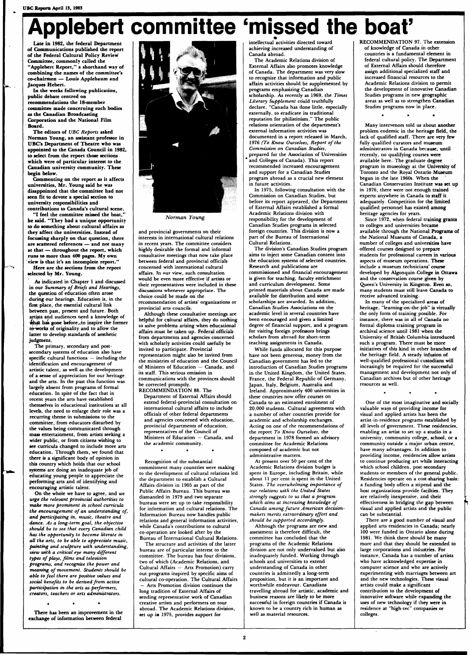# **Applebert committee 'missed the boat'**

**Late in 1982, the federal Department of Communications published the report of the Federal Cultural Policy Review' Committee, commonly called the "Applebert Report," a shorthand way of combining the names of the committee's co-chairmen — Louis Applebaum and Jacques Hebert.** 

**In the weeks following publication, public debate centred on recommendations the 18-member committee made concerning such bodies as the Canadian Broadcasting Corporation and the National Film Board.** 

The editors of UBC Reports asked **Norman Young, an assistant professor in UBC's Department of Theatre who was appointed to the Canada Council in 1982, to select from the report those sections which were of particular interest to the Canadian university community. These begin below.** 

**Commenting on the report as it affects universities, Mr. Young said he was disappointed that the committee had not seen fit to devote a special section to university responsibilities and** 

**contributions to Canada's cultural scene. "I feel the committee missed the boat," he said. "They had a unique opportunity to do something about cultural affairs as they affect the universities. Instead of focussing sharply on that question, there are scattered references — and not many at that — throughout the report, which runs to more than 400 pages. My own view is that it's an incomplete report."** 

**Here are the sections from the report selected by Mr. Young.** 

**As** indicated in Chapter 1 and discussed **in our** *Summary of Briefs and Hearings,*  **the question** of education often arose **during** our hearings. Education is, in the **first place,** the essential cultural link **between** past, present and future. Both **artists** and audiences need a knowledge of what has gone before, to inspire the former **to-works** of originality and to allow the **latter** to develop standards of aesthetic **judgment.** 

**The** primary, secondary and postsecondary systems of education also have specific cultural functions — including the identification and encouragement of artistic talent, as well as the development of a sense of appreciation for our heritage and the arts. In the past this function was largely absent from programs of formal education. In spite of the fact that in recent years the arts have established themselves in educational institutions at all levels, the need to enlarge their role was a recurring theme in submissions to the committee, from educators disturbed by **the** values being communicated through **mass** entertainment, from artists seeking a wider public, or from citizens wishing to **see** curricula changed to include more arts education. Through them, we found that **there is** a significant body of opinion in this country which holds that our school systems are doing an inadequate job of educating young people to appreciate the performing arts and of identifying and encouraging artistic talent.

**On** the whole we have to agree, and *we urge the relevant provincial authorities to make more prominent in school curricula the encouragement of an understanding of, and participating in, music, theatre and dance. As a long-term goal, the objective should be to see that every Canadian child has the opportunity to become literate in all the arts, to be able to appreciate music, painting and sculpture with understanding, view with a critical eye many different types of plays, films and television programs, and recognize the power and meaning of movement. Students should be able to feel there are positive values and social benefits to be derived from active participation in the arts as performers, creators, teachers or arts administrators.* 

**There has been** an improvement in the **exchange** of **information between federal** 



*Norman Young* 

and provincial governments on their interests in international cultural relations in recent years. The committee considers highly desirable the formal and informal consultative meetings that now take place between federal and provincial officials concerned with international cultural affairs. In our view, such consultation would be even more effective if artists or their representatives were included in these discussions whenever appropriate. The choice could be made on the recommendation of artists' organizations or

provincial arts councils.

Although these consultative meetings are helpful for cultural affairs, they do nothing to solve problems arising when educational affairs must be taken up. Federal officials from departments and agencies concerned with scholarly activities could usefully be invited to participate. Provincial representation might also be invited from the ministries of education and the Council of Ministers of Education — Canada, and its staff. This serious omission in communications with the provinces should be corrected promptly.

RECOMMENDATION 88. The Department of External Affairs should extend federal-provincial consultation on international cultural affairs to include officials of other federal departments and agencies concerned with education, provincial departments of education, representatives of the Council of Ministers of Education — Canada, and the academic community.

#### Recognition of the substantial

commitment many countries were making to the development of cultural relations led the department to establish a Cultural Affairs division in 1965 as part of the Public Affairs Bureau. This bureau was dismantled in 1979 and two separate bureaus were set up to take responsibility for information and cultural relations. The Information Bureau now handles public relations and general information activities, while Canada's contributions to cultural co-operation are looked after by the

Bureau of International Cultural Relations. The structure and activities of the latter bureau are of particular interest to the committee. The bureau has four divisions, two of which (Academic Relations, and Cultural Affairs — Arts Promotion) carry out programs inspired by specific aims of cultural co-operation. The Cultural Affairs — Arts Promotion division continues the long tradition of External Affairs of sending representative work of Canadian creative artists and performers on tour abroad. The Academic Relations division, set up in 1975, provides support for

intellectual activities directed toward achieving increased understanding of Canada abroad.

The Academic Relations division of External Affairs also promotes knowledge of Canada. The department was very slow to recognize that information and public affairs activities should be supplemented by programs emphasizing Canadian scholarship. As recently as 1969, the *Times Literary Supplement* **could truthfully**  declare, "Canada has done little, especially externally, to eradicate its traditional reputation for philistinism." The public relations orientation of the department's external information activities was documented in a report released in March, **1976** *(To Know Ourselves, Report of the Commission on Canadian Studies,*  prepared for the Association of Universities

and Colleges of Canada). This report recommended increased encouragement and support for a Canadian Studies program abroad as a crucial new element in future activities.

In 1975, following consultation with the Commission on Canadian Studies, but before its report appeared, the Department of External Affairs established a formal Academic Relations division with responsibility for the development of Canadian Studies programs in selected foreign countries. This division is now a part of the Bureau of International Cultural Relations.

The division's Canadian Studies program aims to inject some Canadian content into the education systems of selected countries. Research and publications are commissioned and financial encouragement is given for teaching, faculty enrichment and curriculum development. Some printed materials about Canada are made available for distribution and some scholarships are awarded. In addition, Canadian Studies Associations on the academic level in several countries have been encouraged and given a limited degree of financial support, and a program for visiting foreign professors brings scholars from abroad for short-term teaching assignments in Canada.

While funds allocated for this purpose have not been generous, money from the Canadian government has led to the introduction of Canadian Studies programs in the United Kingdom, the United States, France, the Federal Republic of Germany, Japan, Italy, Belgium, Australia and Ireland. Approximately 400 universities in these countries now offer courses on Canada to an estimated enrolment of 20,000 students. Cultural agreements with a number of other countries provide for academic and scholarship exchanges. Acting on one of the recommendations of the report *To Know Ourselves,* **the** . department in 1978 formed an advisory committee for Academic Relations composed of academic but not administrative matters.

At present over 50 per cent of the Academic Relations division budget is spent in Europe, including Britain, while about 11 per cent is spent in the United States. The overwhelming importance of *our relations with the United States strongly suggests to us that a program which aims at increasing knowledge of Canada among future American decisionmakers merits extraordinary effort and should be supported accordingly.* 

Although the programs are new and sment is therefore difficult. committee has concluded that the programs of the Academic Relations division are not only undervalued but also inadequately funded. Working through schools and universities to extend understanding of Canada in other countries is admittedly a long-term proposition, but it is an important and worthwhile endeavour. Canadians travelling abroad for artistic, academic and business reasons are likely to be more successful in foreign countries if Canada is known to be a country rich in human as well as material resources.

RECOMMENDATION 97. The extension of knowledge of Canada in other countries is a fundamental element in federal cultural policy. The Department of External Affairs should therefore assign additional specialized staff and increased financial resources to the Academic Relations division to permit the development of innovative Canadian Studies programs in new geographic areas as well as to strengthen **Canadian**  Studies programs now in place.

Many intervenors told us about **another**  problem endemic in the heritage **field, the**  lack of qualified staff. There **are very few**  fully qualified curators and museum administrators in Canada because, **until**  recently, no qualifying courses **were**  available here. The graduate **degree**  program in museology at the **University of**  Toronto and the Royal Ontario **Museum**  began in the late 1960s. When **the**  Canadian Conservation Institute **was set** up in 1976, there were not enough **trained**  experts anywhere in Canada to **staff it**  adequately. Competition for **the limited**  qualified personnel has existed **among**  heritage agencies for years.

Since 1972, when federal training **grants**  to colleges and universities became available through the National **Programs of**  the National Museums of Canada, **a**  number of colleges and universities **have**  offered courses designed to **prepare**  students for professional careers in **various**  aspects of museum operations. **These**  include a museum technicians' **course**  developed by Algonquin College in **Ottawa**  and the conservation course **given by**  Queen's University in Kingston. **Even so,**  many students must still leave **Canada to**  receive advanced training.

In many of the specialized **areas** of heritage, "learning-on-the-job" is virtually the only form of training possible. For instance, there was in all of Canada no formal diploma training program in archival science until 1981 when **the**  University of British Columbia introduced such a program. There must **be** more initiatives of this kind in other branches of the heritage field. A steady infusion of well-qualified professional custodians will inceasingly be required for the successful management and development not only of Canadian archives but of other heritage resources as well.

One of the most imaginative and socially valuable ways of providing income for visual and applied artists has been the artist-in-residence programs established by all levels of government. These residencies, enabling an artist to set up a studio in a university, community college, school, or a community outside a major urban centre, have many advantages. In addition to providing income, residencies allow artists to continue producing art while interacting which school children, post-secondary students or members of the general public. Residencies operate on a cost-sharing basis: a funding body offers a stipend and the host organizations provide facilties. They are relatively inexpensive, and their effectiveness in bridging the gap between visual and applied artists and the public can be substantial.

There are a good number of visual and applied arts residencies in Canada; nearly vere funded in Ontario alone during 1981. We think there should be many more and that they should be extended to large corporations and industries. For instance, Canada has a number of artists who have acknowledged expertise in computer science and who are actively experimenting with marriages between art and the new technologies. These visual artists could make a significant contribution to the development of innovative software while expanding, the uses of new technology if they **were** in residence at "high-tec" companies or colleges.